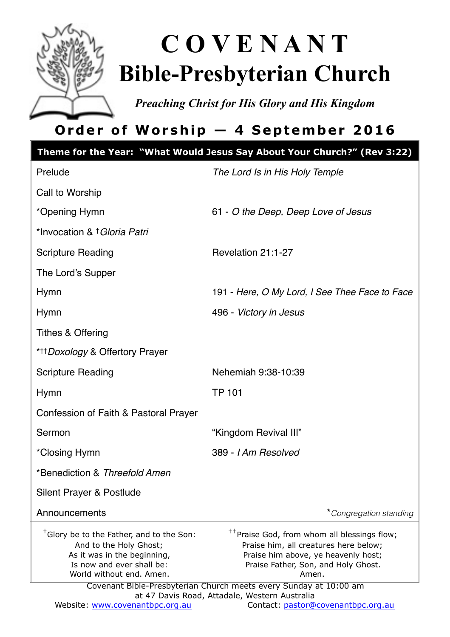

# **C O V E N A N T Bible-Presbyterian Church**

*Preaching Christ for His Glory and His Kingdom* 

# **Order of Worship — 4 September 2016**

|                                                                                                                                                                        | Theme for the Year: "What Would Jesus Say About Your Church?" (Rev 3:22)                                                                                                                                                                                     |  |
|------------------------------------------------------------------------------------------------------------------------------------------------------------------------|--------------------------------------------------------------------------------------------------------------------------------------------------------------------------------------------------------------------------------------------------------------|--|
| Prelude                                                                                                                                                                | The Lord Is in His Holy Temple                                                                                                                                                                                                                               |  |
| Call to Worship                                                                                                                                                        |                                                                                                                                                                                                                                                              |  |
| *Opening Hymn                                                                                                                                                          | 61 - O the Deep, Deep Love of Jesus                                                                                                                                                                                                                          |  |
| *Invocation & † Gloria Patri                                                                                                                                           |                                                                                                                                                                                                                                                              |  |
| <b>Scripture Reading</b>                                                                                                                                               | Revelation 21:1-27                                                                                                                                                                                                                                           |  |
| The Lord's Supper                                                                                                                                                      |                                                                                                                                                                                                                                                              |  |
| Hymn                                                                                                                                                                   | 191 - Here, O My Lord, I See Thee Face to Face                                                                                                                                                                                                               |  |
| Hymn                                                                                                                                                                   | 496 - Victory in Jesus                                                                                                                                                                                                                                       |  |
| Tithes & Offering                                                                                                                                                      |                                                                                                                                                                                                                                                              |  |
| * <sup>+++</sup> Doxology & Offertory Prayer                                                                                                                           |                                                                                                                                                                                                                                                              |  |
| <b>Scripture Reading</b>                                                                                                                                               | Nehemiah 9:38-10:39                                                                                                                                                                                                                                          |  |
| Hymn                                                                                                                                                                   | <b>TP 101</b>                                                                                                                                                                                                                                                |  |
| Confession of Faith & Pastoral Prayer                                                                                                                                  |                                                                                                                                                                                                                                                              |  |
| Sermon                                                                                                                                                                 | "Kingdom Revival III"                                                                                                                                                                                                                                        |  |
| *Closing Hymn                                                                                                                                                          | 389 - I Am Resolved                                                                                                                                                                                                                                          |  |
| *Benediction & Threefold Amen                                                                                                                                          |                                                                                                                                                                                                                                                              |  |
| Silent Prayer & Postlude                                                                                                                                               |                                                                                                                                                                                                                                                              |  |
| Announcements                                                                                                                                                          | *Congregation standing                                                                                                                                                                                                                                       |  |
| <sup>†</sup> Glory be to the Father, and to the Son:<br>And to the Holy Ghost;<br>As it was in the beginning,<br>Is now and ever shall be:<br>World without end. Amen. | <sup>††</sup> Praise God, from whom all blessings flow;<br>Praise him, all creatures here below;<br>Praise him above, ye heavenly host;<br>Praise Father, Son, and Holy Ghost.<br>Amen.<br>Covenant Bible-Presbyterian Church meets every Sunday at 10:00 am |  |
| Website: www.covenantbpc.org.au                                                                                                                                        | at 47 Davis Road, Attadale, Western Australia<br>Contact: pastor@covenantbpc.org.au                                                                                                                                                                          |  |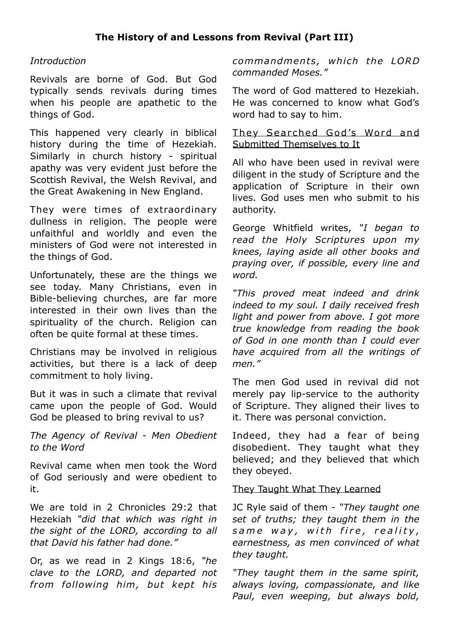### **The History of and Lessons from Revival (Part III)**

#### *Introduction*

Revivals are borne of God. But God typically sends revivals during times when his people are apathetic to the things of God.

This happened very clearly in biblical history during the time of Hezekiah. Similarly in church history - spiritual apathy was very evident just before the Scottish Revival, the Welsh Revival, and the Great Awakening in New England.

They were times of extraordinary dullness in religion. The people were unfaithful and worldly and even the ministers of God were not interested in the things of God.

Unfortunately, these are the things we see today. Many Christians, even in Bible-believing churches, are far more interested in their own lives than the spirituality of the church. Religion can often be quite formal at these times.

Christians may be involved in religious activities, but there is a lack of deep commitment to holy living.

But it was in such a climate that revival came upon the people of God. Would God be pleased to bring revival to us?

*The Agency of Revival - Men Obedient to the Word*

Revival came when men took the Word of God seriously and were obedient to it.

We are told in 2 Chronicles 29:2 that Hezekiah *"did that which was right in the sight of the LORD, according to all that David his father had done."* 

Or, as we read in 2 Kings 18:6, *"he clave to the LORD, and departed not from following him, but kept his*  *commandments, which the LORD commanded Moses."*

The word of God mattered to Hezekiah. He was concerned to know what God's word had to say to him.

#### They Searched God's Word and Submitted Themselves to It

All who have been used in revival were diligent in the study of Scripture and the application of Scripture in their own lives. God uses men who submit to his authority.

George Whitfield writes, *"I began to read the Holy Scriptures upon my knees, laying aside all other books and praying over, if possible, every line and word.*

*"This proved meat indeed and drink indeed to my soul. I daily received fresh light and power from above. I got more true knowledge from reading the book of God in one month than I could ever have acquired from all the writings of men."*

The men God used in revival did not merely pay lip-service to the authority of Scripture. They aligned their lives to it. There was personal conviction.

Indeed, they had a fear of being disobedient. They taught what they believed; and they believed that which they obeyed.

#### They Taught What They Learned

JC Ryle said of them - *"They taught one set of truths; they taught them in the*  same way, with fire, reality, *earnestness, as men convinced of what they taught.* 

*"They taught them in the same spirit, always loving, compassionate, and like Paul, even weeping, but always bold,*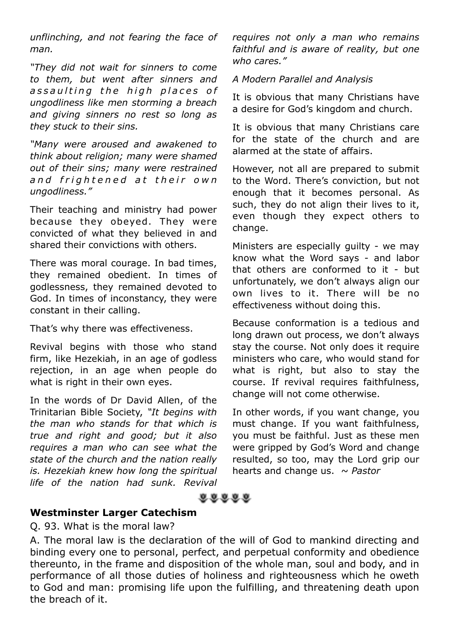*unflinching, and not fearing the face of man.*

*"They did not wait for sinners to come to them, but went after sinners and*  assaulting the high places of *ungodliness like men storming a breach and giving sinners no rest so long as they stuck to their sins.*

*"Many were aroused and awakened to think about religion; many were shamed out of their sins; many were restrained a n d f r i g h t e n e d a t t h e i r o w n ungodliness."* 

Their teaching and ministry had power because they obeyed. They were convicted of what they believed in and shared their convictions with others.

There was moral courage. In bad times, they remained obedient. In times of godlessness, they remained devoted to God. In times of inconstancy, they were constant in their calling.

That's why there was effectiveness.

Revival begins with those who stand firm, like Hezekiah, in an age of godless rejection, in an age when people do what is right in their own eyes.

In the words of Dr David Allen, of the Trinitarian Bible Society, *"It begins with the man who stands for that which is true and right and good; but it also requires a man who can see what the state of the church and the nation really is. Hezekiah knew how long the spiritual life of the nation had sunk. Revival*  *requires not only a man who remains faithful and is aware of reality, but one who cares."* 

#### *A Modern Parallel and Analysis*

It is obvious that many Christians have a desire for God's kingdom and church.

It is obvious that many Christians care for the state of the church and are alarmed at the state of affairs.

However, not all are prepared to submit to the Word. There's conviction, but not enough that it becomes personal. As such, they do not align their lives to it, even though they expect others to change.

Ministers are especially guilty - we may know what the Word says - and labor that others are conformed to it - but unfortunately, we don't always align our own lives to it. There will be no effectiveness without doing this.

Because conformation is a tedious and long drawn out process, we don't always stay the course. Not only does it require ministers who care, who would stand for what is right, but also to stay the course. If revival requires faithfulness, change will not come otherwise.

In other words, if you want change, you must change. If you want faithfulness, you must be faithful. Just as these men were gripped by God's Word and change resulted, so too, may the Lord grip our hearts and change us. *~ Pastor*



#### **Westminster Larger Catechism**

#### Q. 93. What is the moral law?

A. The moral law is the declaration of the will of God to mankind directing and binding every one to personal, perfect, and perpetual conformity and obedience thereunto, in the frame and disposition of the whole man, soul and body, and in performance of all those duties of holiness and righteousness which he oweth to God and man: promising life upon the fulfilling, and threatening death upon the breach of it.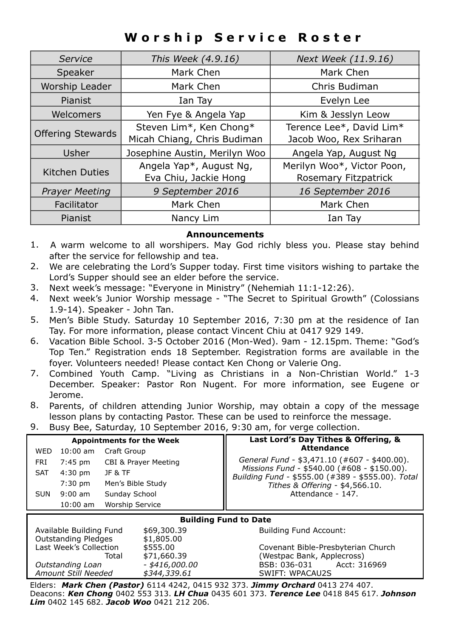# **Worship Service Roster**

| Service                                   | This Week (4.9.16)          | Next Week (11.9.16)        |  |
|-------------------------------------------|-----------------------------|----------------------------|--|
| Speaker                                   | Mark Chen                   | Mark Chen                  |  |
| Worship Leader                            | Mark Chen                   | Chris Budiman              |  |
| Pianist                                   | Ian Tay                     | Evelyn Lee                 |  |
| Welcomers                                 | Yen Fye & Angela Yap        | Kim & Jesslyn Leow         |  |
| <b>Offering Stewards</b>                  | Steven Lim*, Ken Chong*     | Terence Lee*, David Lim*   |  |
|                                           | Micah Chiang, Chris Budiman | Jacob Woo, Rex Sriharan    |  |
| Josephine Austin, Merilyn Woo<br>Usher    |                             | Angela Yap, August Ng      |  |
| <b>Kitchen Duties</b>                     | Angela Yap*, August Ng,     | Merilyn Woo*, Victor Poon, |  |
|                                           | Eva Chiu, Jackie Hong       | Rosemary Fitzpatrick       |  |
| 9 September 2016<br><b>Prayer Meeting</b> |                             | 16 September 2016          |  |
| Mark Chen<br>Facilitator                  |                             | Mark Chen                  |  |
| Pianist<br>Nancy Lim                      |                             | Ian Tay                    |  |

#### **Announcements**

- 1. A warm welcome to all worshipers. May God richly bless you. Please stay behind after the service for fellowship and tea.
- 2. We are celebrating the Lord's Supper today. First time visitors wishing to partake the Lord's Supper should see an elder before the service.
- 3. Next week's message: "Everyone in Ministry" (Nehemiah 11:1-12:26).
- 4. Next week's Junior Worship message "The Secret to Spiritual Growth" (Colossians 1.9-14). Speaker - John Tan.
- 5. Men's Bible Study. Saturday 10 September 2016, 7:30 pm at the residence of Ian Tay. For more information, please contact Vincent Chiu at 0417 929 149.
- 6. Vacation Bible School. 3-5 October 2016 (Mon-Wed). 9am 12.15pm. Theme: "God's Top Ten." Registration ends 18 September. Registration forms are available in the foyer. Volunteers needed! Please contact Ken Chong or Valerie Ong.
- 7. Combined Youth Camp. "Living as Christians in a Non-Christian World." 1-3 December. Speaker: Pastor Ron Nugent. For more information, see Eugene or Jerome.
- 8. Parents, of children attending Junior Worship, may obtain a copy of the message lesson plans by contacting Pastor. These can be used to reinforce the message.
- 9. Busy Bee, Saturday, 10 September 2016, 9:30 am, for verge collection.

| <b>Appointments for the Week</b>                                            |            |                                 |  | Last Lord's Day Tithes & Offering, & |                                                                                                  |  |  |
|-----------------------------------------------------------------------------|------------|---------------------------------|--|--------------------------------------|--------------------------------------------------------------------------------------------------|--|--|
| WED                                                                         | $10:00$ am | Craft Group                     |  |                                      | <b>Attendance</b>                                                                                |  |  |
| FRI                                                                         | 7:45 pm    | CBI & Prayer Meeting            |  |                                      | General Fund - \$3,471.10 (#607 - \$400.00).                                                     |  |  |
| <b>SAT</b>                                                                  | $4:30$ pm  | <b>JF &amp; TF</b>              |  |                                      | Missions Fund - \$540.00 (#608 - \$150.00).<br>Building Fund - \$555.00 (#389 - \$555.00). Total |  |  |
| Men's Bible Study<br>$7:30$ pm                                              |            | Tithes & Offering - \$4,566.10. |  |                                      |                                                                                                  |  |  |
| <b>SUN</b>                                                                  | $9:00$ am  | Sunday School                   |  |                                      | Attendance - 147.                                                                                |  |  |
| $10:00$ am                                                                  |            | <b>Worship Service</b>          |  |                                      |                                                                                                  |  |  |
| <b>Building Fund to Date</b>                                                |            |                                 |  |                                      |                                                                                                  |  |  |
| Available Building Fund<br>\$69,300.39<br>Outstanding Pledges<br>\$1,805.00 |            | <b>Building Fund Account:</b>   |  |                                      |                                                                                                  |  |  |

Last Week's Collection \$555.00 Covenant Bible-Presbyterian Church Total  $$71,660.39$  (Westpac Bank, Applecross) *Outstanding Loan - \$416,000.00* BSB: 036-031 Acct: 316969 *Amount Still Needed \$344,339.61* SWIFT: WPACAU2S

Elders: *Mark Chen (Pastor)* 6114 4242, 0415 932 373. *Jimmy Orchard* 0413 274 407. Deacons: *Ken Chong* 0402 553 313. *LH Chua* 0435 601 373. *Terence Lee* 0418 845 617. *Johnson Lim* 0402 145 682. *Jacob Woo* 0421 212 206.